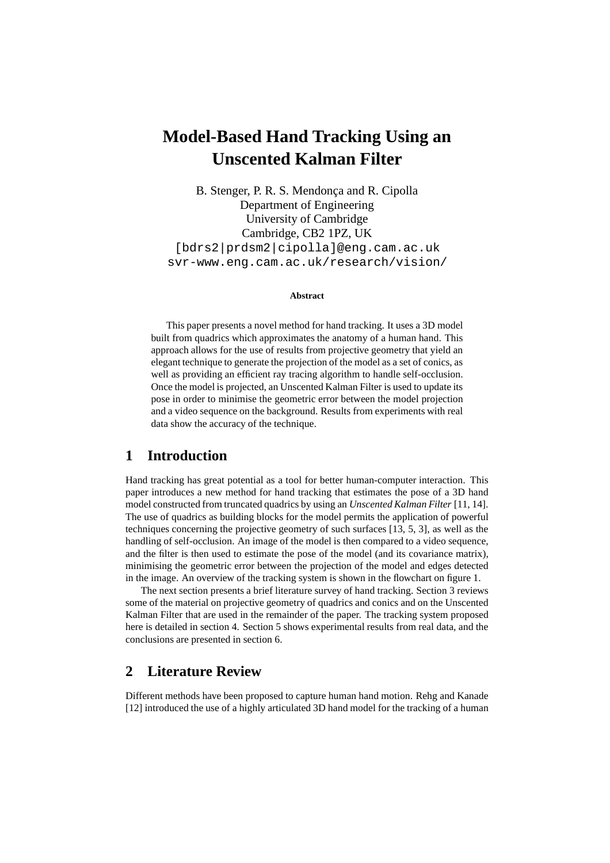# **Model-Based Hand Tracking Using an Unscented Kalman Filter**

B. Stenger, P. R. S. Mendonça and R. Cipolla Department of Engineering University of Cambridge Cambridge, CB2 1PZ, UK [bdrs2|prdsm2|cipolla]@eng.cam.ac.uk svr-www.eng.cam.ac.uk/research/vision/

#### **Abstract**

This paper presents a novel method for hand tracking. It uses a 3D model built from quadrics which approximates the anatomy of a human hand. This approach allows for the use of results from projective geometry that yield an elegant technique to generate the projection of the model as a set of conics, as well as providing an efficient ray tracing algorithm to handle self-occlusion. Once the model is projected, an Unscented Kalman Filter is used to update its pose in order to minimise the geometric error between the model projection and a video sequence on the background. Results from experiments with real data show the accuracy of the technique.

### **1 Introduction**

Hand tracking has great potential as a tool for better human-computer interaction. This paper introduces a new method for hand tracking that estimates the pose of a 3D hand model constructed from truncated quadrics by using an *Unscented Kalman Filter* [11, 14]. The use of quadrics as building blocks for the model permits the application of powerful techniques concerning the projective geometry of such surfaces [13, 5, 3], as well as the handling of self-occlusion. An image of the model is then compared to a video sequence, and the filter is then used to estimate the pose of the model (and its covariance matrix), minimising the geometric error between the projection of the model and edges detected in the image. An overview of the tracking system is shown in the flowchart on figure 1.

The next section presents a brief literature survey of hand tracking. Section 3 reviews some of the material on projective geometry of quadrics and conics and on the Unscented Kalman Filter that are used in the remainder of the paper. The tracking system proposed here is detailed in section 4. Section 5 shows experimental results from real data, and the conclusions are presented in section 6.

# **2 Literature Review**

Different methods have been proposed to capture human hand motion. Rehg and Kanade [12] introduced the use of a highly articulated 3D hand model for the tracking of a human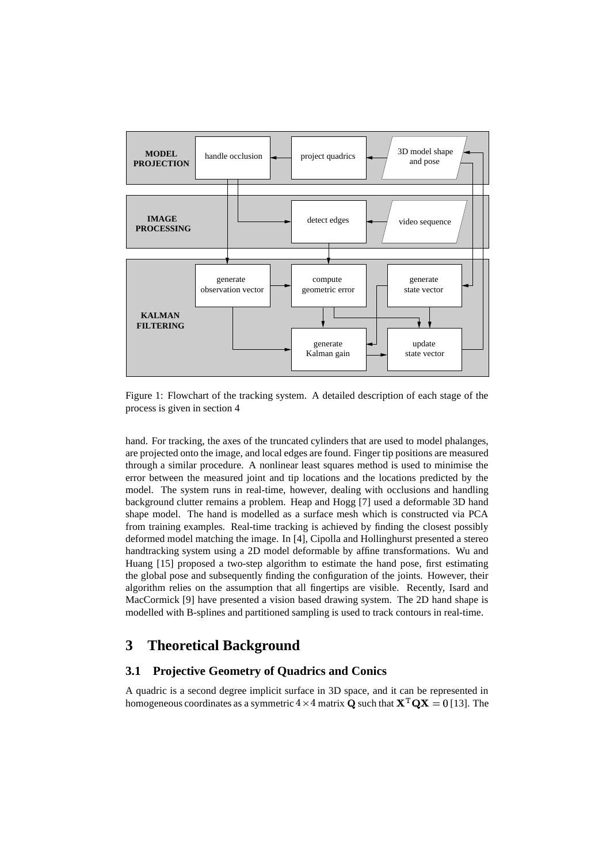

Figure 1: Flowchart of the tracking system. A detailed description of each stage of the process is given in section 4

hand. For tracking, the axes of the truncated cylinders that are used to model phalanges, are projected onto the image, and local edges are found. Finger tip positions are measured through a similar procedure. A nonlinear least squares method is used to minimise the error between the measured joint and tip locations and the locations predicted by the model. The system runs in real-time, however, dealing with occlusions and handling background clutter remains a problem. Heap and Hogg [7] used a deformable 3D hand shape model. The hand is modelled as a surface mesh which is constructed via PCA from training examples. Real-time tracking is achieved by finding the closest possibly deformed model matching the image. In [4], Cipolla and Hollinghurst presented a stereo handtracking system using a 2D model deformable by affine transformations. Wu and Huang [15] proposed a two-step algorithm to estimate the hand pose, first estimating the global pose and subsequently finding the configuration of the joints. However, their algorithm relies on the assumption that all fingertips are visible. Recently, Isard and MacCormick [9] have presented a vision based drawing system. The 2D hand shape is modelled with B-splines and partitioned sampling is used to track contours in real-time.

# **3 Theoretical Background**

#### **3.1 Projective Geometry of Quadrics and Conics**

A quadric is a second degree implicit surface in 3D space, and it can be represented in homogeneous coordinates as a symmetric 4  $\times$  4 matrix  ${\bf Q}$  such that  ${\bf X}^{\rm T}{\bf Q}{\bf X}=0$  [13]. The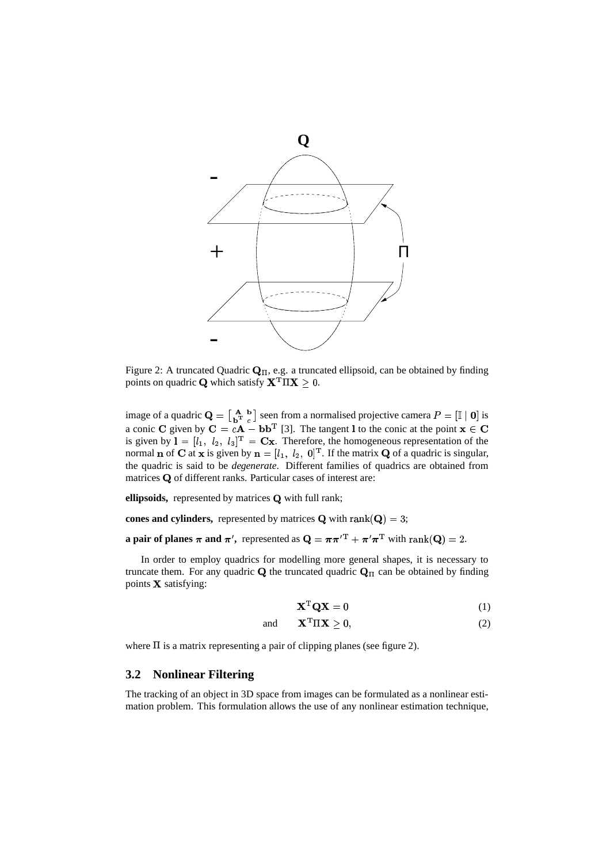

Figure 2: A truncated Quadric  $\mathbf{Q}_{\Pi}$ , e.g. a truncated ellipsoid, can be obtained by finding points on quadric **Q** which satisfy  $X<sup>T</sup> \Pi X \ge 0$ .

image of a quadric  $\mathbf{Q} = \begin{bmatrix} \mathbf{A} & \mathbf{b} \\ \mathbf{b}^{\mathrm{T}} & c \end{bmatrix}$  seen from seen from a normalised projective camera  $P = [\mathbb{I} \mid \mathbf{0}]$  is a conic C given by  $C = cA - bb^T$  [3]. The tangent 1 to the conic at the point  $x \in C$ is given by  $\mathbf{l} = [l_1, l_2, l_3]^T = \mathbf{C}\mathbf{x}$ . Therefore, the homogeneous representation of the normal **n** of **C** at **x** is given by  $\mathbf{n} = [l_1, l_2, 0]^T$ . If the matrix **Q** of a quadric is singular, the quadric is said to be *degenerate*. Different families of quadrics are obtained from matrices Q of different ranks. Particular cases of interest are:

ellipsoids, represented by matrices Q with full rank;

**cones and cylinders,** represented by matrices  $Q$  with rank $(Q) = 3$ ;

**a** pair of planes  $\pi$  and  $\pi'$ , represented as  $\mathbf{Q} = \pi \pi'^T + \pi' \pi^T$  with rank( $\mathbf{Q} = 2$ .

In order to employ quadrics for modelling more general shapes, it is necessary to truncate them. For any quadric **Q** the truncated quadric  $\mathbf{Q}_{\Pi}$  can be obtained by finding points  $X$  satisfying:

$$
\mathbf{X}^{\mathrm{T}} \mathbf{Q} \mathbf{X} = 0 \tag{1}
$$

and 
$$
\mathbf{X}^{\mathrm{T}} \Pi \mathbf{X} \geq 0,
$$
 (2)

where  $\Pi$  is a matrix representing a pair of clipping planes (see figure 2).

#### **3.2 Nonlinear Filtering**

The tracking of an object in 3D space from images can be formulated as a nonlinear estimation problem. This formulation allows the use of any nonlinear estimation technique,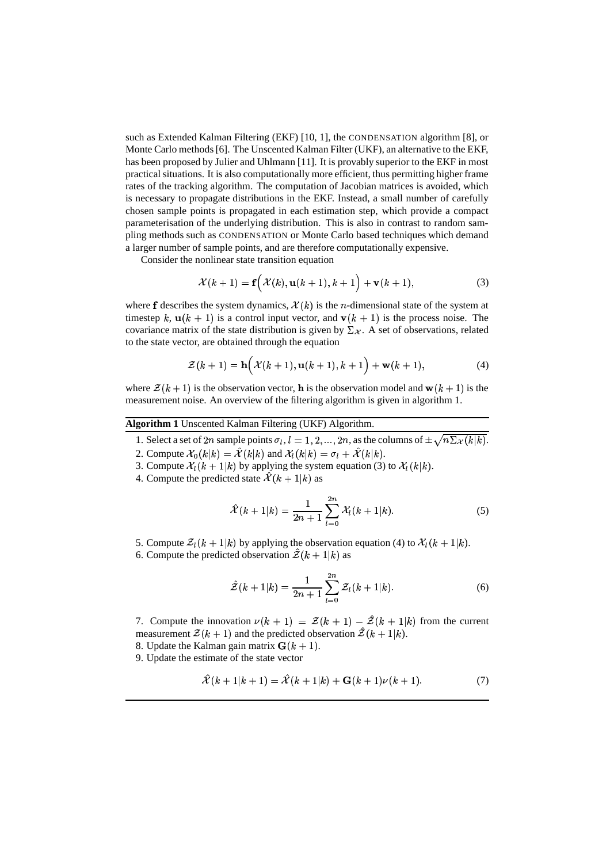such as Extended Kalman Filtering (EKF) [10, 1], the CONDENSATION algorithm [8], or Monte Carlo methods [6]. The Unscented Kalman Filter (UKF), an alternative to the EKF, has been proposed by Julier and Uhlmann [11]. It is provably superior to the EKF in most practical situations. It is also computationally more efficient, thus permitting higher frame rates of the tracking algorithm. The computation of Jacobian matrices is avoided, which is necessary to propagate distributions in the EKF. Instead, a small number of carefully chosen sample points is propagated in each estimation step, which provide a compact parameterisation of the underlying distribution. This is also in contrast to random sampling methods such as CONDENSATION or Monte Carlo based techniques which demand a larger number of sample points, and are therefore computationally expensive.

Consider the nonlinear state transition equation

$$
\mathcal{X}(k+1) = \mathbf{f}\Big(\mathcal{X}(k), \mathbf{u}(k+1), k+1\Big) + \mathbf{v}(k+1),
$$
\n(3)

where **f** describes the system dynamics,  $\mathcal{X}(k)$  is the *n*-dimensional state of the system at timestep k,  $\mathbf{u}(k+1)$  is a control input vector, and  $\mathbf{v}(k+1)$  is the process noise. The covariance matrix of the state distribution is given by  $\Sigma_{\mathcal{X}}$ . A set of observations, related to the state vector, are obtained through the equation

$$
\mathcal{Z}(k+1) = \mathbf{h}\Big(\mathcal{X}(k+1), \mathbf{u}(k+1), k+1\Big) + \mathbf{w}(k+1),\tag{4}
$$

where  $\mathcal{Z}(k+1)$  is the observation vector, **h** is the observation model and  $\mathbf{w}(k+1)$  is the measurement noise. An overview of the filtering algorithm is given in algorithm 1.

#### **Algorithm 1** Unscented Kalman Filtering (UKF) Algorithm.

1. Select a set of  $2n$  sample points  $\sigma_l$ ,  $l = 1, 2, ..., 2n$ , as the columns of  $\pm \sqrt{n \Sigma_{\mathcal{X}}(k|k)}$ .

- 2. Compute  $\mathcal{X}_0(k|k) = \mathcal{X}(k|k)$  and  $\mathcal{X}_l(k|k) = \sigma_l + \mathcal{X}(k|k)$ .
- 3. Compute  $\mathcal{X}_l(k+1|k)$  by applying the system equation (3) to  $\mathcal{X}_l(k|k)$ .
- 4. Compute the predicted state  $\mathcal{X}(k+1|k)$  as

$$
\hat{\mathcal{X}}(k+1|k) = \frac{1}{2n+1} \sum_{l=0}^{2n} \mathcal{X}_l(k+1|k). \tag{5}
$$

5. Compute  $\mathcal{Z}_l(k+1|k)$  by applying the observation equation (4) to  $\mathcal{X}_l(k+1|k)$ .

6. Compute the predicted observation  $\mathcal{Z}(k+1|k)$  as

$$
\hat{\mathcal{Z}}(k+1|k) = \frac{1}{2n+1} \sum_{l=0}^{2n} \mathcal{Z}_l(k+1|k). \tag{6}
$$

7. Compute the innovation  $\nu(k + 1) = \mathcal{Z}(k + 1) - \mathcal{Z}(k + 1|k)$  from the current measurement  $\mathcal{Z}(k+1)$  and the predicted observation  $\mathcal{Z}(k+1|k)$ .

- 8. Update the Kalman gain matrix  $G(k + 1)$ .
- 9. Update the estimate of the state vector

$$
\hat{\mathcal{X}}(k+1|k+1) = \hat{\mathcal{X}}(k+1|k) + \mathbf{G}(k+1)\nu(k+1). \tag{7}
$$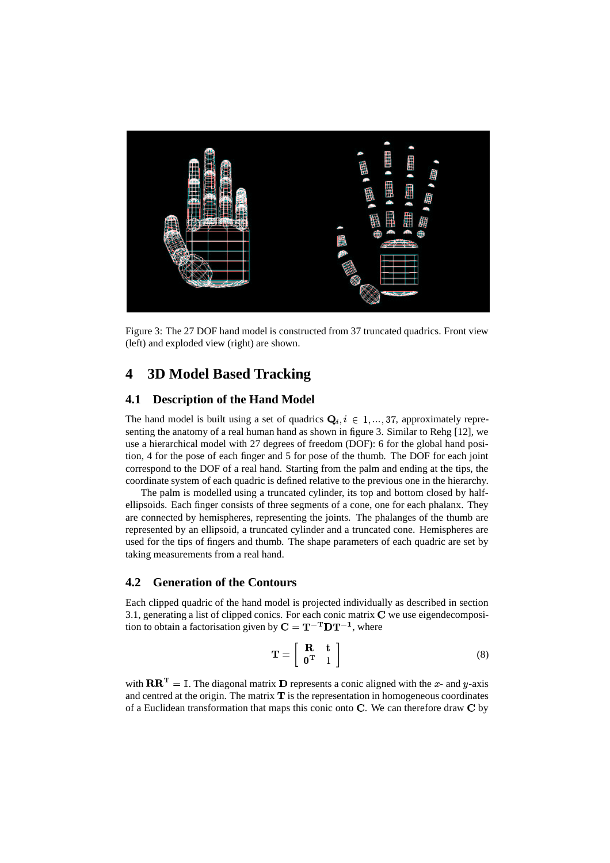

Figure 3: The 27 DOF hand model is constructed from 37 truncated quadrics. Front view (left) and exploded view (right) are shown.

# **4 3D Model Based Tracking**

#### **4.1 Description of the Hand Model**

The hand model is built using a set of quadrics  $Q_i, i \in 1, ..., 37$ , approximately representing the anatomy of a real human hand as shown in figure 3. Similar to Rehg [12], we use a hierarchical model with 27 degrees of freedom (DOF): 6 for the global hand position, 4 for the pose of each finger and 5 for pose of the thumb. The DOF for each joint correspond to the DOF of a real hand. Starting from the palm and ending at the tips, the coordinate system of each quadric is defined relative to the previous one in the hierarchy.

The palm is modelled using a truncated cylinder, its top and bottom closed by halfellipsoids. Each finger consists of three segments of a cone, one for each phalanx. They are connected by hemispheres, representing the joints. The phalanges of the thumb are represented by an ellipsoid, a truncated cylinder and a truncated cone. Hemispheres are used for the tips of fingers and thumb. The shape parameters of each quadric are set by taking measurements from a real hand.

#### **4.2 Generation of the Contours**

Each clipped quadric of the hand model is projected individually as described in section 3.1, generating a list of clipped conics. For each conic matrix  $C$  we use eigendecomposition to obtain a factorisation given by  $C = T^{-T}DT^{-1}$ , where

$$
\mathbf{T} = \left[ \begin{array}{cc} \mathbf{R} & \mathbf{t} \\ \mathbf{0}^{\mathrm{T}} & 1 \end{array} \right] \tag{8}
$$

with  $\mathbf{R} \mathbf{R}^{\mathrm{T}} = \mathbb{I}$ . The diagonal matrix **D** represents a conic aligned with the x- and y-axis and centred at the origin. The matrix  $\bf{T}$  is the representation in homogeneous coordinates of a Euclidean transformation that maps this conic onto  $C$ . We can therefore draw  $C$  by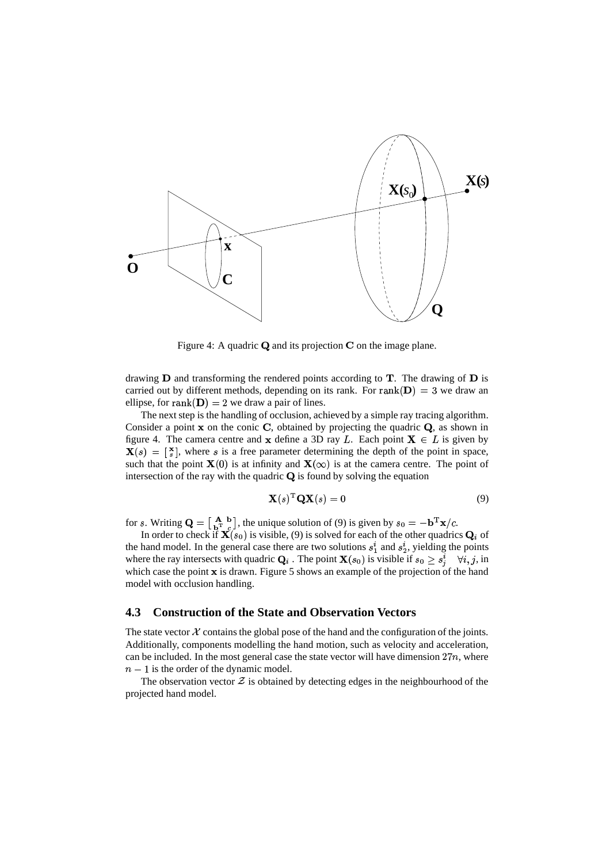

Figure 4: A quadric  $Q$  and its projection  $C$  on the image plane.

drawing  **and transforming the rendered points according to**  $**T**$ **. The drawing of**  $**D**$  **is** carried out by different methods, depending on its rank. For  $rank(\mathbf{D}) = 3$  we draw an ellipse, for rank $(D) = 2$  we draw a pair of lines.

The next step is the handling of occlusion, achieved by a simple ray tracing algorithm. Consider a point  $\bf{x}$  on the conic  $\bf{C}$ , obtained by projecting the quadric  $\bf{Q}$ , as shown in figure 4. The camera centre and  $\bf{x}$  define a 3D ray L. Each point  $\bf{X} \in L$  is given by  $\mathbf{X}(s) = \begin{bmatrix} \mathbf{x} \\ s \end{bmatrix}$ , where s is a free parameter determining the depth of the point in space, such that the point  $\mathbf{X}(0)$  is at infinity and  $\mathbf{X}(\infty)$  is at the camera centre. The point of intersection of the ray with the quadric  $Q$  is found by solving the equation

$$
\mathbf{X}(s)^{\mathrm{T}} \mathbf{Q} \mathbf{X}(s) = 0 \tag{9}
$$

for s. Writing  $\mathbf{Q} = \begin{bmatrix} \mathbf{A} & \mathbf{b} \\ \mathbf{b}^{\mathrm{T}} & \mathbf{c} \end{bmatrix}$ , the uniq , the unique solution of (9) is given by  $s_0 = -\mathbf{b}^T \mathbf{x}/c$ .

. . . . . . . . In order to check if  ${\bf X}(s_0)$  is visible, (9) is solved for each of the other quadrics  ${\bf Q}_i$  of the hand model. In the general case there are two solutions  $s_1^i$  and  $s_2^i$ , yielding the points where the ray intersects with quadric  $\mathbf{Q}_i$ . The point  $\mathbf{X}(s_0)$  is visible if  $s_0 \geq s_i^i \quad \forall i, j$ , in which case the point  $\bf{x}$  is drawn. Figure 5 shows an example of the projection of the hand model with occlusion handling.

#### **4.3 Construction of the State and Observation Vectors**

The state vector  $\mathcal X$  contains the global pose of the hand and the configuration of the joints. Additionally, components modelling the hand motion, such as velocity and acceleration, can be included. In the most general case the state vector will have dimension  $27n$ , where  $n-1$  is the order of the dynamic model.

The observation vector  $\mathcal Z$  is obtained by detecting edges in the neighbourhood of the projected hand model.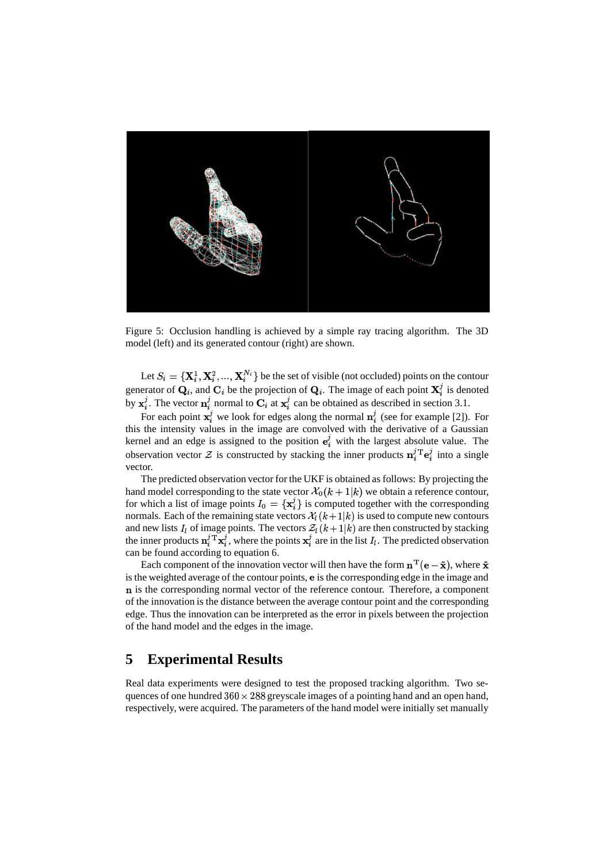

Figure 5: Occlusion handling is achieved by a simple ray tracing algorithm. The 3D model (left) and its generated contour (right) are shown.

Let  $S_i = {\mathbf{X}_i^1, \mathbf{X}_i^2, ..., \mathbf{X}_i^{N_i}}$  be the set of visible (not occluded) points on the contour generator of  $\mathbf{Q}_i$ , and  $\mathbf{C}_i$  be the projection of  $\mathbf{Q}_i$ . The image of each point  $\mathbf{X}_i^j$  is denoted by  $\mathbf{x}_i^j$ . The vector  $\mathbf{n}_i^j$  normal to  $\mathbf{C}_i$  at  $\mathbf{x}_i^j$  can be obtained as described in section 3.1.

For each point  $\mathbf{x}_i^j$  we look for edges along the normal  $\mathbf{n}_i^j$  (see for example [2]). For this the intensity values in the image are convolved with the derivative of a Gaussian kernel and an edge is assigned to the position  $e_i^j$  with the largest absolute value. The observation vector  $\mathcal Z$  is constructed by stacking the inner products  $\mathbf n_i^j \mathbf T \mathbf e_i^j$  into a s . . . .  $i$  into a single vector.

The predicted observation vector for the UKF is obtained as follows: By projecting the hand model corresponding to the state vector  $\mathcal{X}_0(k+1|k)$  we obtain a reference contour, for which a list of image points  $I_0 = \{x_i^j\}$  is compu  $i<sup>j</sup>$  is computed together with the corresponding normals. Each of the remaining state vectors  $\mathcal{X}_l(k+1|k)$  is used to compute new contours and new lists  $I_i$  of image points. The vectors  $\mathcal{Z}_i(k+1|k)$  are then constructed by stacking the inner products  $\mathbf{n}_i^{j \mathrm{T}} \mathbf{x}_i^j$ , where  $\mathrm{T}$ . . . . . .  $i_j^j$ , where the points  $\mathbf{x}_i^j$  are in the list  $I_l$ . The predicted observation can be found according to equation 6.

Each component of the innovation vector will then have the form  $\mathbf{n}^{\mathrm{T}}(\mathbf{e} - \tilde{\mathbf{x}})$ , where  $\tilde{\mathbf{x}}$ is the weighted average of the contour points, e is the corresponding edge in the image and **n** is the corresponding normal vector of the reference contour. Therefore, a component of the innovation is the distance between the average contour point and the corresponding edge. Thus the innovation can be interpreted as the error in pixels between the projection of the hand model and the edges in the image.

## **5 Experimental Results**

Real data experiments were designed to test the proposed tracking algorithm. Two sequences of one hundred  $360 \times 288$  greyscale images of a pointing hand and an open hand, respectively, were acquired. The parameters of the hand model were initially set manually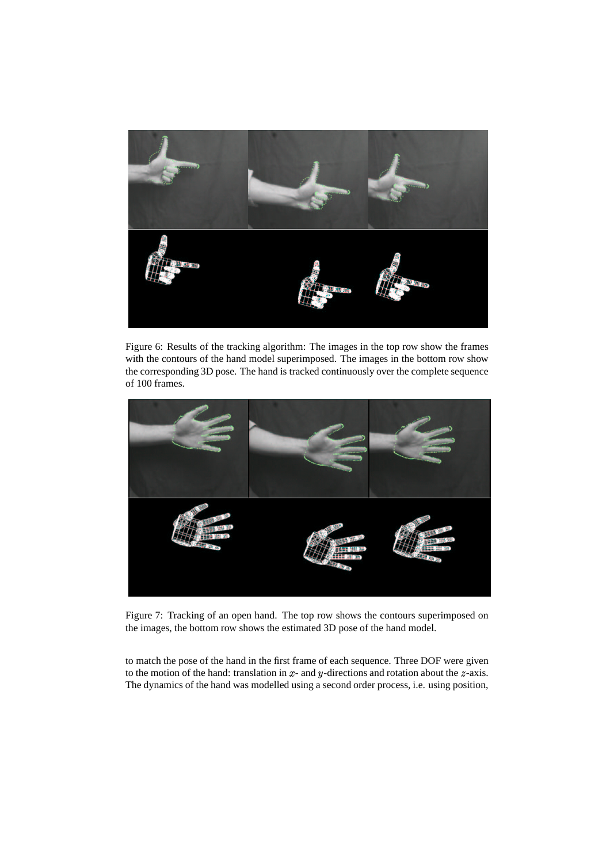

Figure 6: Results of the tracking algorithm: The images in the top row show the frames with the contours of the hand model superimposed. The images in the bottom row show the corresponding 3D pose. The hand is tracked continuously over the complete sequence of 100 frames.



Figure 7: Tracking of an open hand. The top row shows the contours superimposed on the images, the bottom row shows the estimated 3D pose of the hand model.

to match the pose of the hand in the first frame of each sequence. Three DOF were given to the motion of the hand: translation in  $x$ - and  $y$ -directions and rotation about the  $z$ -axis. The dynamics of the hand was modelled using a second order process, i.e. using position,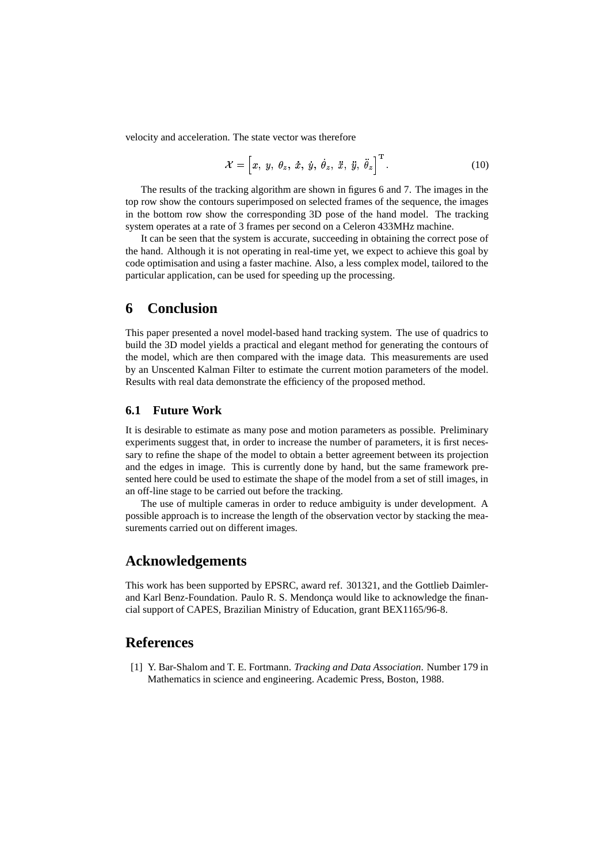velocity and acceleration. The state vector was therefore

$$
\mathcal{X} = \left[x, y, \theta_z, \dot{x}, \dot{y}, \dot{\theta}_z, \ddot{x}, \ddot{y}, \ddot{\theta}_z\right]^{\mathrm{T}}.
$$
 (10)

The results of the tracking algorithm are shown in figures 6 and 7. The images in the top row show the contours superimposed on selected frames of the sequence, the images in the bottom row show the corresponding 3D pose of the hand model. The tracking system operates at a rate of 3 frames per second on a Celeron 433MHz machine.

It can be seen that the system is accurate, succeeding in obtaining the correct pose of the hand. Although it is not operating in real-time yet, we expect to achieve this goal by code optimisation and using a faster machine. Also, a less complex model, tailored to the particular application, can be used for speeding up the processing.

## **6 Conclusion**

This paper presented a novel model-based hand tracking system. The use of quadrics to build the 3D model yields a practical and elegant method for generating the contours of the model, which are then compared with the image data. This measurements are used by an Unscented Kalman Filter to estimate the current motion parameters of the model. Results with real data demonstrate the efficiency of the proposed method.

#### **6.1 Future Work**

It is desirable to estimate as many pose and motion parameters as possible. Preliminary experiments suggest that, in order to increase the number of parameters, it is first necessary to refine the shape of the model to obtain a better agreement between its projection and the edges in image. This is currently done by hand, but the same framework presented here could be used to estimate the shape of the model from a set of still images, in an off-line stage to be carried out before the tracking.

The use of multiple cameras in order to reduce ambiguity is under development. A possible approach is to increase the length of the observation vector by stacking the measurements carried out on different images.

#### **Acknowledgements**

This work has been supported by EPSRC, award ref. 301321, and the Gottlieb Daimlerand Karl Benz-Foundation. Paulo R. S. Mendonça would like to acknowledge the financial support of CAPES, Brazilian Ministry of Education, grant BEX1165/96-8.

# **References**

[1] Y. Bar-Shalom and T. E. Fortmann. *Tracking and Data Association*. Number 179 in Mathematics in science and engineering. Academic Press, Boston, 1988.